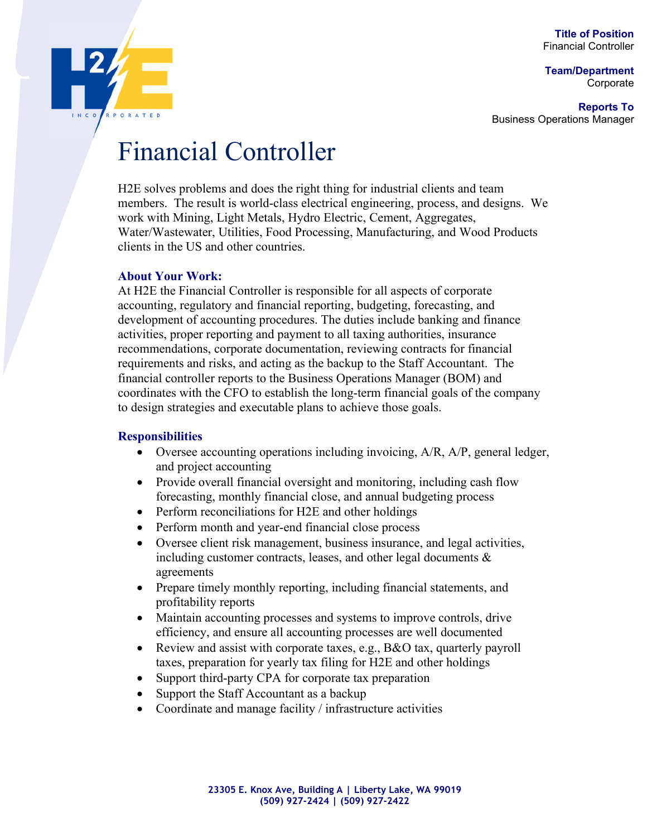**Title of Position** Financial Controller

**Team/Department** Corporate

**Reports To** Business Operations Manager



# Financial Controller

H2E solves problems and does the right thing for industrial clients and team members. The result is world-class electrical engineering, process, and designs. We work with Mining, Light Metals, Hydro Electric, Cement, Aggregates, Water/Wastewater, Utilities, Food Processing, Manufacturing, and Wood Products clients in the US and other countries.

## **About Your Work:**

At H2E the Financial Controller is responsible for all aspects of corporate accounting, regulatory and financial reporting, budgeting, forecasting, and development of accounting procedures. The duties include banking and finance activities, proper reporting and payment to all taxing authorities, insurance recommendations, corporate documentation, reviewing contracts for financial requirements and risks, and acting as the backup to the Staff Accountant. The financial controller reports to the Business Operations Manager (BOM) and coordinates with the CFO to establish the long-term financial goals of the company to design strategies and executable plans to achieve those goals.

### **Responsibilities**

- $\bullet$  Oversee accounting operations including invoicing,  $A/R$ ,  $A/P$ , general ledger, and project accounting
- Provide overall financial oversight and monitoring, including cash flow forecasting, monthly financial close, and annual budgeting process
- Perform reconciliations for H2E and other holdings
- Perform month and year-end financial close process
- Oversee client risk management, business insurance, and legal activities, including customer contracts, leases, and other legal documents & agreements
- Prepare timely monthly reporting, including financial statements, and profitability reports
- Maintain accounting processes and systems to improve controls, drive efficiency, and ensure all accounting processes are well documented
- Review and assist with corporate taxes, e.g., B&O tax, quarterly payroll taxes, preparation for yearly tax filing for H2E and other holdings
- Support third-party CPA for corporate tax preparation
- Support the Staff Accountant as a backup
- Coordinate and manage facility / infrastructure activities